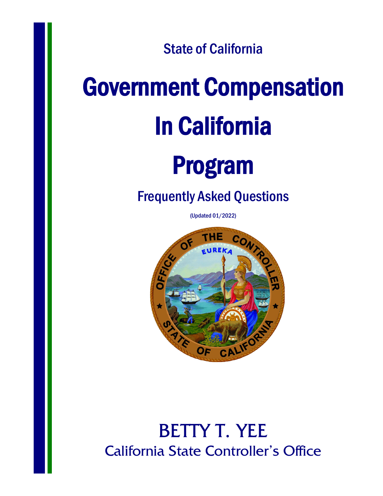State of California

# Government Compensation In California

## Program

#### Frequently Asked Questions

(Updated 01/2022)



### BETTY T. YEE California State Controller's Office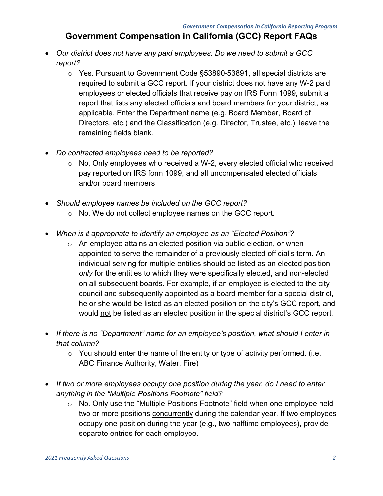#### **Government Compensation in California (GCC) Report FAQs**

- *Our district does not have any paid employees. Do we need to submit a GCC report?*
	- o Yes. Pursuant to Government Code §53890-53891, all special districts are required to submit a GCC report. If your district does not have any W-2 paid employees or elected officials that receive pay on IRS Form 1099, submit a report that lists any elected officials and board members for your district, as applicable. Enter the Department name (e.g. Board Member, Board of Directors, etc.) and the Classification (e.g. Director, Trustee, etc.); leave the remaining fields blank.
- *Do contracted employees need to be reported?*
	- o No, Only employees who received a W-2, every elected official who received pay reported on IRS form 1099, and all uncompensated elected officials and/or board members
- *Should employee names be included on the GCC report?*
	- o No. We do not collect employee names on the GCC report.
- *When is it appropriate to identify an employee as an "Elected Position"?*
	- o An employee attains an elected position via public election, or when appointed to serve the remainder of a previously elected official's term. An individual serving for multiple entities should be listed as an elected position *only* for the entities to which they were specifically elected, and non-elected on all subsequent boards. For example, if an employee is elected to the city council and subsequently appointed as a board member for a special district, he or she would be listed as an elected position on the city's GCC report, and would not be listed as an elected position in the special district's GCC report.
- *If there is no "Department" name for an employee's position, what should I enter in that column?*
	- $\circ$  You should enter the name of the entity or type of activity performed. (i.e. ABC Finance Authority, Water, Fire)
- *If two or more employees occupy one position during the year, do I need to enter anything in the "Multiple Positions Footnote" field?*
	- o No. Only use the "Multiple Positions Footnote" field when one employee held two or more positions concurrently during the calendar year. If two employees occupy one position during the year (e.g., two halftime employees), provide separate entries for each employee.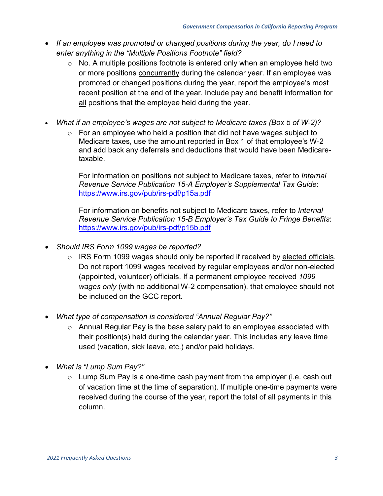- *If an employee was promoted or changed positions during the year, do I need to enter anything in the "Multiple Positions Footnote" field?*
	- $\circ$  No. A multiple positions footnote is entered only when an employee held two or more positions concurrently during the calendar year. If an employee was promoted or changed positions during the year, report the employee's most recent position at the end of the year. Include pay and benefit information for all positions that the employee held during the year.
- *What if an employee's wages are not subject to Medicare taxes (Box 5 of W-2)?*
	- o For an employee who held a position that did not have wages subject to Medicare taxes, use the amount reported in Box 1 of that employee's W-2 and add back any deferrals and deductions that would have been Medicaretaxable.

For information on positions not subject to Medicare taxes, refer to *Internal Revenue Service Publication 15-A Employer's Supplemental Tax Guide*: <https://www.irs.gov/pub/irs-pdf/p15a.pdf>

For information on benefits not subject to Medicare taxes, refer to *Internal Revenue Service Publication 15-B Employer's Tax Guide to Fringe Benefits*: <https://www.irs.gov/pub/irs-pdf/p15b.pdf>

- *Should IRS Form 1099 wages be reported?*
	- o IRS Form 1099 wages should only be reported if received by elected officials. Do not report 1099 wages received by regular employees and/or non-elected (appointed, volunteer) officials. If a permanent employee received *1099 wages only* (with no additional W-2 compensation), that employee should not be included on the GCC report.
- *What type of compensation is considered "Annual Regular Pay?"*
	- o Annual Regular Pay is the base salary paid to an employee associated with their position(s) held during the calendar year. This includes any leave time used (vacation, sick leave, etc.) and/or paid holidays.
- *What is "Lump Sum Pay?"*
	- $\circ$  Lump Sum Pay is a one-time cash payment from the employer (i.e. cash out of vacation time at the time of separation). If multiple one-time payments were received during the course of the year, report the total of all payments in this column.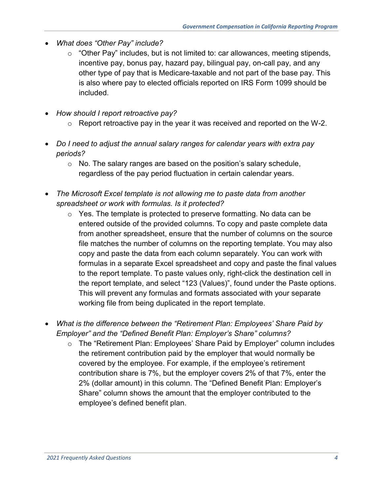- *What does "Other Pay" include?*
	- $\circ$  "Other Pay" includes, but is not limited to: car allowances, meeting stipends, incentive pay, bonus pay, hazard pay, bilingual pay, on-call pay, and any other type of pay that is Medicare-taxable and not part of the base pay. This is also where pay to elected officials reported on IRS Form 1099 should be included.
- *How should I report retroactive pay?*
	- $\circ$  Report retroactive pay in the year it was received and reported on the W-2.
- *Do I need to adjust the annual salary ranges for calendar years with extra pay periods?*
	- $\circ$  No. The salary ranges are based on the position's salary schedule, regardless of the pay period fluctuation in certain calendar years.
- *The Microsoft Excel template is not allowing me to paste data from another spreadsheet or work with formulas. Is it protected?*
	- o Yes. The template is protected to preserve formatting. No data can be entered outside of the provided columns. To copy and paste complete data from another spreadsheet, ensure that the number of columns on the source file matches the number of columns on the reporting template. You may also copy and paste the data from each column separately. You can work with formulas in a separate Excel spreadsheet and copy and paste the final values to the report template. To paste values only, right-click the destination cell in the report template, and select "123 (Values)", found under the Paste options. This will prevent any formulas and formats associated with your separate working file from being duplicated in the report template.
- *What is the difference between the "Retirement Plan: Employees' Share Paid by Employer" and the "Defined Benefit Plan: Employer's Share" columns?*
	- o The "Retirement Plan: Employees' Share Paid by Employer" column includes the retirement contribution paid by the employer that would normally be covered by the employee. For example, if the employee's retirement contribution share is 7%, but the employer covers 2% of that 7%, enter the 2% (dollar amount) in this column. The "Defined Benefit Plan: Employer's Share" column shows the amount that the employer contributed to the employee's defined benefit plan.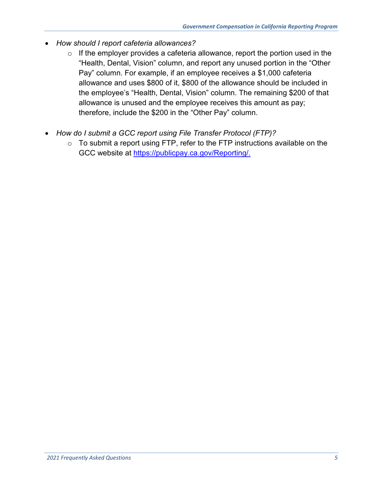- *How should I report cafeteria allowances?*
	- $\circ$  If the employer provides a cafeteria allowance, report the portion used in the "Health, Dental, Vision" column, and report any unused portion in the "Other Pay" column. For example, if an employee receives a \$1,000 cafeteria allowance and uses \$800 of it, \$800 of the allowance should be included in the employee's "Health, Dental, Vision" column. The remaining \$200 of that allowance is unused and the employee receives this amount as pay; therefore, include the \$200 in the "Other Pay" column.
- *How do I submit a GCC report using File Transfer Protocol (FTP)?*
	- $\circ$  To submit a report using FTP, refer to the FTP instructions available on the GCC website at [https://publicpay.ca.gov/Reporting/.](https://publicpay.ca.gov/Reporting/)